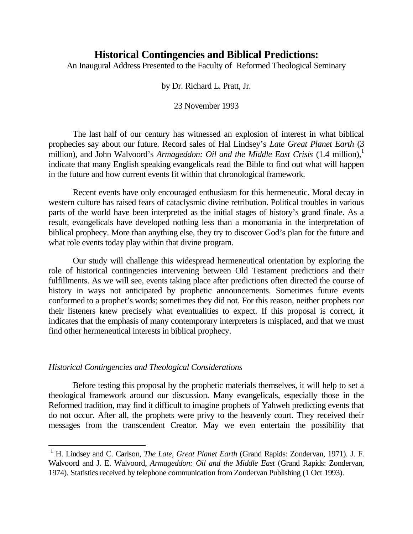# **Historical Contingencies and Biblical Predictions:**

An Inaugural Address Presented to the Faculty of Reformed Theological Seminary

by Dr. Richard L. Pratt, Jr.

23 November 1993

The last half of our century has witnessed an explosion of interest in what biblical prophecies say about our future. Record sales of Hal Lindsey's *Late Great Planet Earth* (3 million), and John Walvoord's *Armageddon: Oil and the Middle East Crisis* (1.4 million),<sup>1</sup> indicate that many English speaking evangelicals read the Bible to find out what will happen in the future and how current events fit within that chronological framework.

Recent events have only encouraged enthusiasm for this hermeneutic. Moral decay in western culture has raised fears of cataclysmic divine retribution. Political troubles in various parts of the world have been interpreted as the initial stages of history's grand finale. As a result, evangelicals have developed nothing less than a monomania in the interpretation of biblical prophecy. More than anything else, they try to discover God's plan for the future and what role events today play within that divine program.

Our study will challenge this widespread hermeneutical orientation by exploring the role of historical contingencies intervening between Old Testament predictions and their fulfillments. As we will see, events taking place after predictions often directed the course of history in ways not anticipated by prophetic announcements. Sometimes future events conformed to a prophet's words; sometimes they did not. For this reason, neither prophets nor their listeners knew precisely what eventualities to expect. If this proposal is correct, it indicates that the emphasis of many contemporary interpreters is misplaced, and that we must find other hermeneutical interests in biblical prophecy.

## *Historical Contingencies and Theological Considerations*

É.

Before testing this proposal by the prophetic materials themselves, it will help to set a theological framework around our discussion. Many evangelicals, especially those in the Reformed tradition, may find it difficult to imagine prophets of Yahweh predicting events that do not occur. After all, the prophets were privy to the heavenly court. They received their messages from the transcendent Creator. May we even entertain the possibility that

<sup>&</sup>lt;sup>1</sup> H. Lindsey and C. Carlson, *The Late, Great Planet Earth* (Grand Rapids: Zondervan, 1971). J. F. Walvoord and J. E. Walvoord, *Armageddon: Oil and the Middle East* (Grand Rapids: Zondervan, 1974). Statistics received by telephone communication from Zondervan Publishing (1 Oct 1993).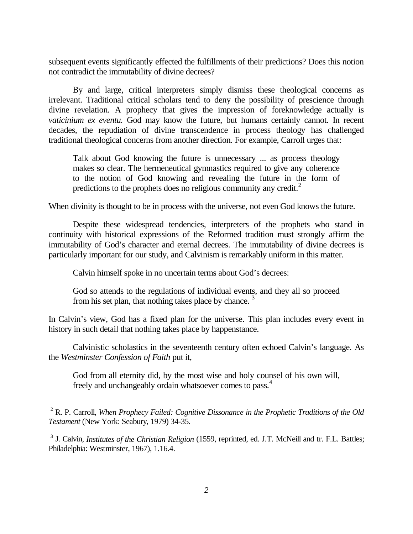subsequent events significantly effected the fulfillments of their predictions? Does this notion not contradict the immutability of divine decrees?

By and large, critical interpreters simply dismiss these theological concerns as irrelevant. Traditional critical scholars tend to deny the possibility of prescience through divine revelation. A prophecy that gives the impression of foreknowledge actually is *vaticinium ex eventu.* God may know the future, but humans certainly cannot. In recent decades, the repudiation of divine transcendence in process theology has challenged traditional theological concerns from another direction. For example, Carroll urges that:

Talk about God knowing the future is unnecessary ... as process theology makes so clear. The hermeneutical gymnastics required to give any coherence to the notion of God knowing and revealing the future in the form of predictions to the prophets does no religious community any credit. $<sup>2</sup>$ </sup>

When divinity is thought to be in process with the universe, not even God knows the future.

Despite these widespread tendencies, interpreters of the prophets who stand in continuity with historical expressions of the Reformed tradition must strongly affirm the immutability of God's character and eternal decrees. The immutability of divine decrees is particularly important for our study, and Calvinism is remarkably uniform in this matter.

Calvin himself spoke in no uncertain terms about God's decrees:

÷,

God so attends to the regulations of individual events, and they all so proceed from his set plan, that nothing takes place by chance. <sup>3</sup>

In Calvin's view, God has a fixed plan for the universe. This plan includes every event in history in such detail that nothing takes place by happenstance.

Calvinistic scholastics in the seventeenth century often echoed Calvin's language. As the *Westminster Confession of Faith* put it,

God from all eternity did, by the most wise and holy counsel of his own will, freely and unchangeably ordain whatsoever comes to pass.<sup>4</sup>

<sup>2</sup> R. P. Carroll, *When Prophecy Failed: Cognitive Dissonance in the Prophetic Traditions of the Old Testament* (New York: Seabury, 1979) 34-35.

<sup>&</sup>lt;sup>3</sup> J. Calvin, *Institutes of the Christian Religion* (1559, reprinted, ed. J.T. McNeill and tr. F.L. Battles; Philadelphia: Westminster, 1967), 1.16.4.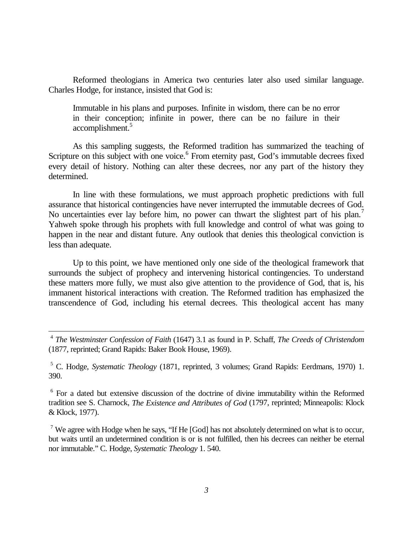Reformed theologians in America two centuries later also used similar language. Charles Hodge, for instance, insisted that God is:

Immutable in his plans and purposes. Infinite in wisdom, there can be no error in their conception; infinite in power, there can be no failure in their accomplishment.<sup>5</sup>

As this sampling suggests, the Reformed tradition has summarized the teaching of Scripture on this subject with one voice.<sup>6</sup> From eternity past, God's immutable decrees fixed every detail of history. Nothing can alter these decrees, nor any part of the history they determined.

In line with these formulations, we must approach prophetic predictions with full assurance that historical contingencies have never interrupted the immutable decrees of God. No uncertainties ever lay before him, no power can thwart the slightest part of his plan.<sup>7</sup> Yahweh spoke through his prophets with full knowledge and control of what was going to happen in the near and distant future. Any outlook that denies this theological conviction is less than adequate.

Up to this point, we have mentioned only one side of the theological framework that surrounds the subject of prophecy and intervening historical contingencies. To understand these matters more fully, we must also give attention to the providence of God, that is, his immanent historical interactions with creation. The Reformed tradition has emphasized the transcendence of God, including his eternal decrees. This theological accent has many

 <sup>4</sup> *The Westminster Confession of Faith* (1647) 3.1 as found in P. Schaff, *The Creeds of Christendom* (1877, reprinted; Grand Rapids: Baker Book House, 1969).

5 C. Hodge, *Systematic Theology* (1871, reprinted, 3 volumes; Grand Rapids: Eerdmans, 1970) 1. 390.

<sup>6</sup> For a dated but extensive discussion of the doctrine of divine immutability within the Reformed tradition see S. Charnock, *The Existence and Attributes of God* (1797, reprinted; Minneapolis: Klock & Klock, 1977).

<sup>7</sup> We agree with Hodge when he says, "If He [God] has not absolutely determined on what is to occur, but waits until an undetermined condition is or is not fulfilled, then his decrees can neither be eternal nor immutable." C. Hodge, *Systematic Theology* 1. 540.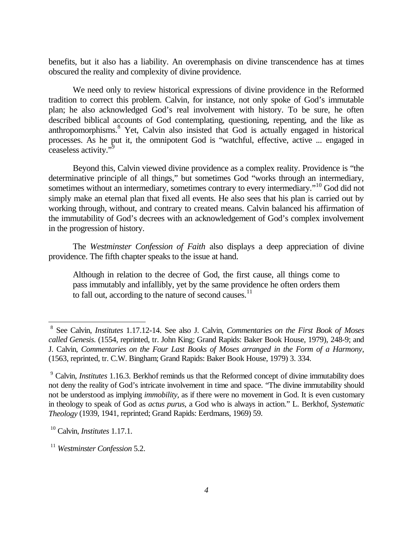benefits, but it also has a liability. An overemphasis on divine transcendence has at times obscured the reality and complexity of divine providence.

We need only to review historical expressions of divine providence in the Reformed tradition to correct this problem. Calvin, for instance, not only spoke of God's immutable plan; he also acknowledged God's real involvement with history. To be sure, he often described biblical accounts of God contemplating, questioning, repenting, and the like as anthropomorphisms. 8 Yet, Calvin also insisted that God is actually engaged in historical processes. As he put it, the omnipotent God is "watchful, effective, active ... engaged in ceaseless activity."<sup>9</sup>

Beyond this, Calvin viewed divine providence as a complex reality. Providence is "the determinative principle of all things," but sometimes God "works through an intermediary, sometimes without an intermediary, sometimes contrary to every intermediary."<sup>10</sup> God did not simply make an eternal plan that fixed all events. He also sees that his plan is carried out by working through, without, and contrary to created means. Calvin balanced his affirmation of the immutability of God's decrees with an acknowledgement of God's complex involvement in the progression of history.

The *Westminster Confession of Faith* also displays a deep appreciation of divine providence. The fifth chapter speaks to the issue at hand.

Although in relation to the decree of God, the first cause, all things come to pass immutably and infallibly, yet by the same providence he often orders them to fall out, according to the nature of second causes.<sup>11</sup>

÷,

<sup>8</sup> See Calvin, *Institutes* 1.17.12-14. See also J. Calvin, *Commentaries on the First Book of Moses called Genesis*. (1554, reprinted, tr. John King; Grand Rapids: Baker Book House, 1979), 248-9; and J. Calvin, *Commentaries on the Four Last Books of Moses arranged in the Form of a Harmony*, (1563, reprinted, tr. C.W. Bingham; Grand Rapids: Baker Book House, 1979) 3. 334.

<sup>9</sup> Calvin, *Institutes* 1.16.3. Berkhof reminds us that the Reformed concept of divine immutability does not deny the reality of God's intricate involvement in time and space. "The divine immutability should not be understood as implying *immobility,* as if there were no movement in God. It is even customary in theology to speak of God as *actus purus*, a God who is always in action." L. Berkhof, *Systematic Theology* (1939, 1941, reprinted; Grand Rapids: Eerdmans, 1969) 59.

<sup>10</sup> Calvin, *Institutes* 1.17.1.

<sup>11</sup> *Westminster Confession* 5.2.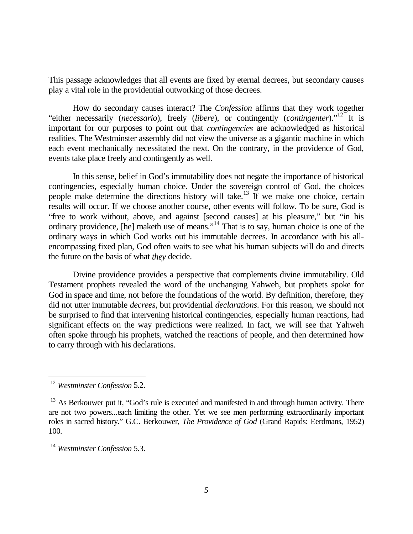This passage acknowledges that all events are fixed by eternal decrees, but secondary causes play a vital role in the providential outworking of those decrees.

How do secondary causes interact? The *Confession* affirms that they work together "either necessarily (*necessario*), freely (*libere*), or contingently (*contingenter*)."12 It is important for our purposes to point out that *contingencies* are acknowledged as historical realities. The Westminster assembly did not view the universe as a gigantic machine in which each event mechanically necessitated the next. On the contrary, in the providence of God, events take place freely and contingently as well.

In this sense, belief in God's immutability does not negate the importance of historical contingencies, especially human choice. Under the sovereign control of God, the choices people make determine the directions history will take.<sup>13</sup> If we make one choice, certain results will occur. If we choose another course, other events will follow. To be sure, God is "free to work without, above, and against [second causes] at his pleasure," but "in his ordinary providence, [he] maketh use of means."14 That is to say, human choice is one of the ordinary ways in which God works out his immutable decrees. In accordance with his allencompassing fixed plan, God often waits to see what his human subjects will do and directs the future on the basis of what *they* decide.

Divine providence provides a perspective that complements divine immutability. Old Testament prophets revealed the word of the unchanging Yahweh, but prophets spoke for God in space and time, not before the foundations of the world. By definition, therefore, they did not utter immutable *decrees*, but providential *declarations*. For this reason, we should not be surprised to find that intervening historical contingencies, especially human reactions, had significant effects on the way predictions were realized. In fact, we will see that Yahweh often spoke through his prophets, watched the reactions of people, and then determined how to carry through with his declarations.

 $\overline{\phantom{0}}$ 

<sup>12</sup> *Westminster Confession* 5.2.

 $13$  As Berkouwer put it, "God's rule is executed and manifested in and through human activity. There are not two powers...each limiting the other. Yet we see men performing extraordinarily important roles in sacred history." G.C. Berkouwer, *The Providence of God* (Grand Rapids: Eerdmans, 1952) 100.

<sup>14</sup> *Westminster Confession* 5.3.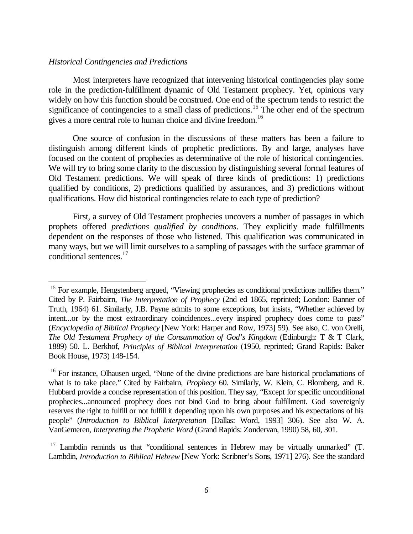#### *Historical Contingencies and Predictions*

÷,

Most interpreters have recognized that intervening historical contingencies play some role in the prediction-fulfillment dynamic of Old Testament prophecy. Yet, opinions vary widely on how this function should be construed. One end of the spectrum tends to restrict the significance of contingencies to a small class of predictions.<sup>15</sup> The other end of the spectrum gives a more central role to human choice and divine freedom.<sup>16</sup>

One source of confusion in the discussions of these matters has been a failure to distinguish among different kinds of prophetic predictions. By and large, analyses have focused on the content of prophecies as determinative of the role of historical contingencies. We will try to bring some clarity to the discussion by distinguishing several formal features of Old Testament predictions. We will speak of three kinds of predictions: 1) predictions qualified by conditions, 2) predictions qualified by assurances, and 3) predictions without qualifications. How did historical contingencies relate to each type of prediction?

First, a survey of Old Testament prophecies uncovers a number of passages in which prophets offered *predictions qualified by conditions*. They explicitly made fulfillments dependent on the responses of those who listened. This qualification was communicated in many ways, but we will limit ourselves to a sampling of passages with the surface grammar of conditional sentences.<sup>17</sup>

<sup>&</sup>lt;sup>15</sup> For example, Hengstenberg argued, "Viewing prophecies as conditional predictions nullifies them." Cited by P. Fairbairn, *The Interpretation of Prophecy* (2nd ed 1865, reprinted; London: Banner of Truth, 1964) 61. Similarly, J.B. Payne admits to some exceptions, but insists, "Whether achieved by intent...or by the most extraordinary coincidences...every inspired prophecy does come to pass" (*Encyclopedia of Biblical Prophecy* [New York: Harper and Row, 1973] 59). See also, C. von Orelli, *The Old Testament Prophecy of the Consummation of God's Kingdom* (Edinburgh: T & T Clark, 1889) 50. L. Berkhof, *Principles of Biblical Interpretation* (1950, reprinted; Grand Rapids: Baker Book House, 1973) 148-154.

<sup>&</sup>lt;sup>16</sup> For instance, Olhausen urged, "None of the divine predictions are bare historical proclamations of what is to take place." Cited by Fairbairn, *Prophecy* 60. Similarly, W. Klein, C. Blomberg, and R. Hubbard provide a concise representation of this position. They say, "Except for specific unconditional prophecies...announced prophecy does not bind God to bring about fulfillment. God sovereignly reserves the right to fulfill or not fulfill it depending upon his own purposes and his expectations of his people" (*Introduction to Biblical Interpretation* [Dallas: Word, 1993] 306). See also W. A. VanGemeren, *Interpreting the Prophetic Word* (Grand Rapids: Zondervan, 1990) 58, 60, 301.

 $17$  Lambdin reminds us that "conditional sentences in Hebrew may be virtually unmarked" (T. Lambdin, *Introduction to Biblical Hebrew* [New York: Scribner's Sons, 1971] 276). See the standard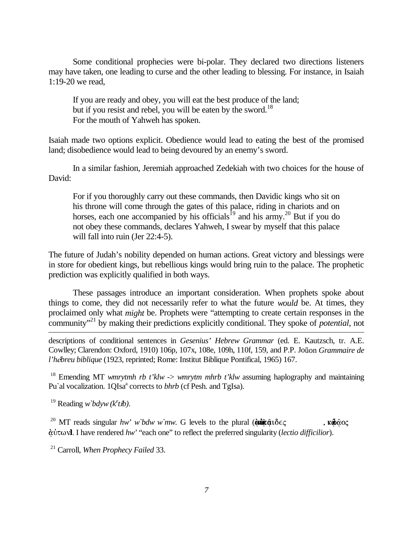Some conditional prophecies were bi-polar. They declared two directions listeners may have taken, one leading to curse and the other leading to blessing. For instance, in Isaiah 1:19-20 we read,

If you are ready and obey, you will eat the best produce of the land; but if you resist and rebel, you will be eaten by the sword.<sup>18</sup> For the mouth of Yahweh has spoken.

Isaiah made two options explicit. Obedience would lead to eating the best of the promised land; disobedience would lead to being devoured by an enemy's sword.

In a similar fashion, Jeremiah approached Zedekiah with two choices for the house of David:

For if you thoroughly carry out these commands, then Davidic kings who sit on his throne will come through the gates of this palace, riding in chariots and on horses, each one accompanied by his officials<sup>19</sup> and his army.<sup>20</sup> But if you do not obey these commands, declares Yahweh, I swear by myself that this palace will fall into ruin (Jer 22:4-5).

The future of Judah's nobility depended on human actions. Great victory and blessings were in store for obedient kings, but rebellious kings would bring ruin to the palace. The prophetic prediction was explicitly qualified in both ways.

These passages introduce an important consideration. When prophets spoke about things to come, they did not necessarily refer to what the future *would* be. At times, they proclaimed only what *might* be. Prophets were "attempting to create certain responses in the community"21 by making their predictions explicitly conditional. They spoke of *potential*, not÷,

descriptions of conditional sentences in *Gesenius' Hebrew Grammar* (ed. E. Kautzsch, tr. A.E. Cowlley; Clarendon: Oxford, 1910) 106p, 107x, 108e, 109h, 110f, 159, and P.P. Joüon *Grammaire de l'h*-*breu biblique* (1923, reprinted; Rome: Institut Biblique Pontifical, 1965) 167.

<sup>18</sup> Emending MT *wmrytmh rb t'klw -> wmrytm mhrb t'klw* assuming haplography and maintaining Pu'al vocalization. 1QIsa<sup>a</sup> corrects to *bhrb* (cf Pesh. and TgIsa).

<sup>19</sup> Reading *w bdyw* ( $k^e$ *tib*).

<sup>20</sup> MT reads singular *hw' w'bdw w'mw*. G levels to the plural  $(\delta \sin \alpha \vec{\alpha}) \delta \in \mathcal{L}$ ,  $\kappa \phi \alpha \delta \in \mathcal{L}$ u½-7. I have rendered *hw'* "each one" to reflect the preferred singularity (*lectio difficilior*).

<sup>21</sup> Carroll, *When Prophecy Failed* 33.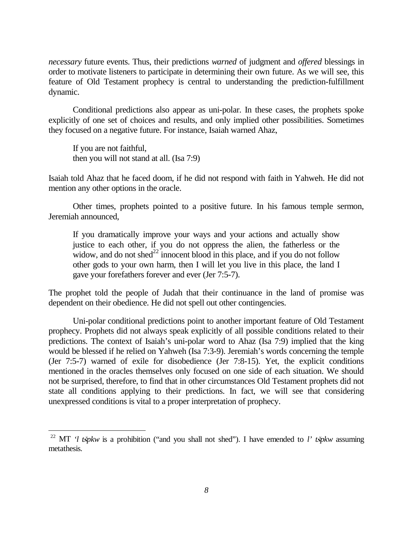*necessary* future events. Thus, their predictions *warned* of judgment and *offered* blessings in order to motivate listeners to participate in determining their own future. As we will see, this feature of Old Testament prophecy is central to understanding the prediction-fulfillment dynamic.

Conditional predictions also appear as uni-polar. In these cases, the prophets spoke explicitly of one set of choices and results, and only implied other possibilities. Sometimes they focused on a negative future. For instance, Isaiah warned Ahaz,

If you are not faithful, then you will not stand at all. (Isa 7:9)

÷

Isaiah told Ahaz that he faced doom, if he did not respond with faith in Yahweh. He did not mention any other options in the oracle.

Other times, prophets pointed to a positive future. In his famous temple sermon, Jeremiah announced,

If you dramatically improve your ways and your actions and actually show justice to each other, if you do not oppress the alien, the fatherless or the widow, and do not shed<sup>22</sup> innocent blood in this place, and if you do not follow other gods to your own harm, then I will let you live in this place, the land I gave your forefathers forever and ever (Jer 7:5-7).

The prophet told the people of Judah that their continuance in the land of promise was dependent on their obedience. He did not spell out other contingencies.

Uni-polar conditional predictions point to another important feature of Old Testament prophecy. Prophets did not always speak explicitly of all possible conditions related to their predictions. The context of Isaiah's uni-polar word to Ahaz (Isa 7:9) implied that the king would be blessed if he relied on Yahweh (Isa 7:3-9). Jeremiah's words concerning the temple (Jer 7:5-7) warned of exile for disobedience (Jer 7:8-15). Yet, the explicit conditions mentioned in the oracles themselves only focused on one side of each situation. We should not be surprised, therefore, to find that in other circumstances Old Testament prophets did not state all conditions applying to their predictions. In fact, we will see that considering unexpressed conditions is vital to a proper interpretation of prophecy.

<sup>&</sup>lt;sup>22</sup> MT *'l tšpkw* is a prohibition ("and you shall not shed"). I have emended to *l' tšpkw* assuming metathesis.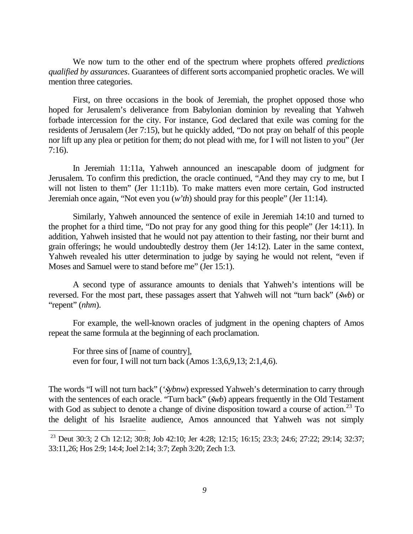We now turn to the other end of the spectrum where prophets offered *predictions qualified by assurances*. Guarantees of different sorts accompanied prophetic oracles. We will mention three categories.

First, on three occasions in the book of Jeremiah, the prophet opposed those who hoped for Jerusalem's deliverance from Babylonian dominion by revealing that Yahweh forbade intercession for the city. For instance, God declared that exile was coming for the residents of Jerusalem (Jer 7:15), but he quickly added, "Do not pray on behalf of this people nor lift up any plea or petition for them; do not plead with me, for I will not listen to you" (Jer 7:16).

In Jeremiah 11:11a, Yahweh announced an inescapable doom of judgment for Jerusalem. To confirm this prediction, the oracle continued, "And they may cry to me, but I will not listen to them" (Jer 11:11b). To make matters even more certain, God instructed Jeremiah once again, "Not even you (*w'th*) should pray for this people" (Jer 11:14).

Similarly, Yahweh announced the sentence of exile in Jeremiah 14:10 and turned to the prophet for a third time, "Do not pray for any good thing for this people" (Jer 14:11). In addition, Yahweh insisted that he would not pay attention to their fasting, nor their burnt and grain offerings; he would undoubtedly destroy them (Jer 14:12). Later in the same context, Yahweh revealed his utter determination to judge by saying he would not relent, "even if Moses and Samuel were to stand before me" (Jer 15:1).

A second type of assurance amounts to denials that Yahweh's intentions will be reversed. For the most part, these passages assert that Yahweh will not "turn back" (*šwb*) or "repent" (*nhm*).

For example, the well-known oracles of judgment in the opening chapters of Amos repeat the same formula at the beginning of each proclamation.

For three sins of [name of country], even for four, I will not turn back (Amos 1:3,6,9,13; 2:1,4,6).

÷

The words "I will not turn back" (*'šybnw*) expressed Yahweh's determination to carry through with the sentences of each oracle. "Turn back" (*šwb*) appears frequently in the Old Testament with God as subject to denote a change of divine disposition toward a course of action.<sup>23</sup> To the delight of his Israelite audience, Amos announced that Yahweh was not simply

<sup>&</sup>lt;sup>23</sup> Deut 30:3; 2 Ch 12:12; 30:8; Job 42:10; Jer 4:28; 12:15; 16:15; 23:3; 24:6; 27:22; 29:14; 32:37; 33:11,26; Hos 2:9; 14:4; Joel 2:14; 3:7; Zeph 3:20; Zech 1:3.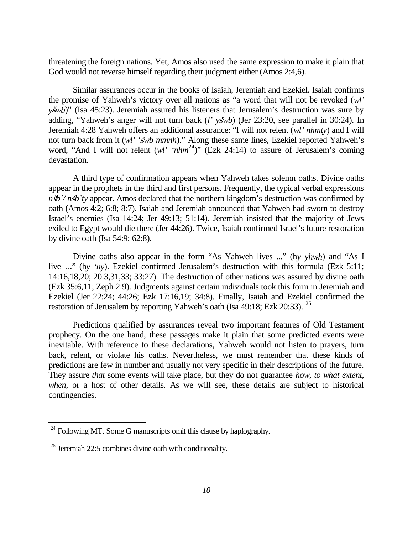threatening the foreign nations. Yet, Amos also used the same expression to make it plain that God would not reverse himself regarding their judgment either (Amos 2:4,6).

Similar assurances occur in the books of Isaiah, Jeremiah and Ezekiel. Isaiah confirms the promise of Yahweh's victory over all nations as "a word that will not be revoked (*wl' yšwb*)" (Isa 45:23). Jeremiah assured his listeners that Jerusalem's destruction was sure by adding, "Yahweh's anger will not turn back (*l' yšwb*) (Jer 23:20, see parallel in 30:24). In Jeremiah 4:28 Yahweh offers an additional assurance: "I will not relent (*wl' nhmty*) and I will not turn back from it (*wl'* '*šwb mmnh*)." Along these same lines, Ezekiel reported Yahweh's word, "And I will not relent (*wl' 'nhm*<sup>24</sup>)" (Ezk 24:14) to assure of Jerusalem's coming devastation.

A third type of confirmation appears when Yahweh takes solemn oaths. Divine oaths appear in the prophets in the third and first persons. Frequently, the typical verbal expressions  $n\phi'/n\phi'$  *n* appear. Amos declared that the northern kingdom's destruction was confirmed by oath (Amos 4:2; 6:8; 8:7). Isaiah and Jeremiah announced that Yahweh had sworn to destroy Israel's enemies (Isa 14:24; Jer 49:13; 51:14). Jeremiah insisted that the majority of Jews exiled to Egypt would die there (Jer 44:26). Twice, Isaiah confirmed Israel's future restoration by divine oath (Isa 54:9; 62:8).

Divine oaths also appear in the form "As Yahweh lives ..." (h*y yhwh*) and "As I live ..." (h*y 'ny*). Ezekiel confirmed Jerusalem's destruction with this formula (Ezk 5:11; 14:16,18,20; 20:3,31,33; 33:27). The destruction of other nations was assured by divine oath (Ezk 35:6,11; Zeph 2:9). Judgments against certain individuals took this form in Jeremiah and Ezekiel (Jer 22:24; 44:26; Ezk 17:16,19; 34:8). Finally, Isaiah and Ezekiel confirmed the restoration of Jerusalem by reporting Yahweh's oath (Isa 49:18; Ezk 20:33). <sup>25</sup>

Predictions qualified by assurances reveal two important features of Old Testament prophecy. On the one hand, these passages make it plain that some predicted events were inevitable. With reference to these declarations, Yahweh would not listen to prayers, turn back, relent, or violate his oaths. Nevertheless, we must remember that these kinds of predictions are few in number and usually not very specific in their descriptions of the future. They assure *that* some events will take place, but they do not guarantee *how, to what extent,* when, or a host of other details. As we will see, these details are subject to historical contingencies.

÷

 $24$  Following MT. Some G manuscripts omit this clause by haplography.

<sup>25</sup> Jeremiah 22:5 combines divine oath with conditionality.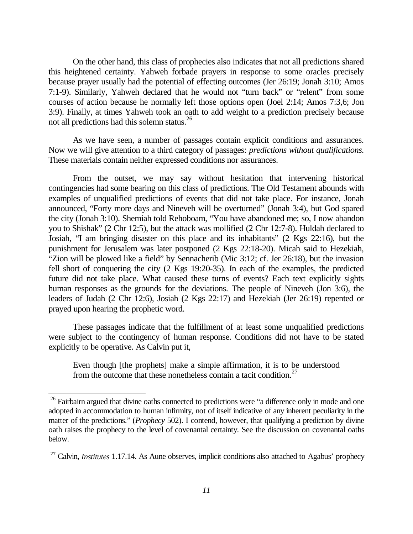On the other hand, this class of prophecies also indicates that not all predictions shared this heightened certainty. Yahweh forbade prayers in response to some oracles precisely because prayer usually had the potential of effecting outcomes (Jer 26:19; Jonah 3:10; Amos 7:1-9). Similarly, Yahweh declared that he would not "turn back" or "relent" from some courses of action because he normally left those options open (Joel 2:14; Amos 7:3,6; Jon 3:9). Finally, at times Yahweh took an oath to add weight to a prediction precisely because not all predictions had this solemn status.<sup>26</sup>

As we have seen, a number of passages contain explicit conditions and assurances. Now we will give attention to a third category of passages: *predictions without qualifications.* These materials contain neither expressed conditions nor assurances.

From the outset, we may say without hesitation that intervening historical contingencies had some bearing on this class of predictions. The Old Testament abounds with examples of unqualified predictions of events that did not take place. For instance, Jonah announced, "Forty more days and Nineveh will be overturned" (Jonah 3:4), but God spared the city (Jonah 3:10). Shemiah told Rehoboam, "You have abandoned me; so, I now abandon you to Shishak" (2 Chr 12:5), but the attack was mollified (2 Chr 12:7-8). Huldah declared to Josiah, "I am bringing disaster on this place and its inhabitants" (2 Kgs 22:16), but the punishment for Jerusalem was later postponed (2 Kgs 22:18-20). Micah said to Hezekiah, "Zion will be plowed like a field" by Sennacherib (Mic 3:12; cf. Jer 26:18), but the invasion fell short of conquering the city (2 Kgs 19:20-35). In each of the examples, the predicted future did not take place. What caused these turns of events? Each text explicitly sights human responses as the grounds for the deviations. The people of Nineveh (Jon 3:6), the leaders of Judah (2 Chr 12:6), Josiah (2 Kgs 22:17) and Hezekiah (Jer 26:19) repented or prayed upon hearing the prophetic word.

These passages indicate that the fulfillment of at least some unqualified predictions were subject to the contingency of human response. Conditions did not have to be stated explicitly to be operative. As Calvin put it,

Even though [the prophets] make a simple affirmation, it is to be understood from the outcome that these nonetheless contain a tacit condition.<sup>27</sup>

 $\overline{\phantom{0}}$ 

<sup>&</sup>lt;sup>26</sup> Fairbairn argued that divine oaths connected to predictions were "a difference only in mode and one adopted in accommodation to human infirmity, not of itself indicative of any inherent peculiarity in the matter of the predictions." (*Prophecy* 502). I contend, however, that qualifying a prediction by divine oath raises the prophecy to the level of covenantal certainty. See the discussion on covenantal oaths below.

<sup>&</sup>lt;sup>27</sup> Calvin, *Institutes* 1.17.14. As Aune observes, implicit conditions also attached to Agabus' prophecy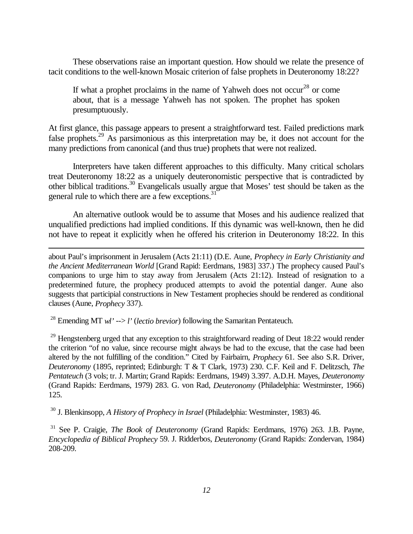These observations raise an important question. How should we relate the presence of tacit conditions to the well-known Mosaic criterion of false prophets in Deuteronomy 18:22?

If what a prophet proclaims in the name of Yahweh does not occur<sup>28</sup> or come about, that is a message Yahweh has not spoken. The prophet has spoken presumptuously.

At first glance, this passage appears to present a straightforward test. Failed predictions mark false prophets.<sup>29</sup> As parsimonious as this interpretation may be, it does not account for the many predictions from canonical (and thus true) prophets that were not realized.

Interpreters have taken different approaches to this difficulty. Many critical scholars treat Deuteronomy 18:22 as a uniquely deuteronomistic perspective that is contradicted by other biblical traditions.<sup>30</sup> Evangelicals usually argue that Moses' test should be taken as the general rule to which there are a few exceptions.<sup>31</sup>

An alternative outlook would be to assume that Moses and his audience realized that unqualified predictions had implied conditions. If this dynamic was well-known, then he did not have to repeat it explicitly when he offered his criterion in Deuteronomy 18:22. In this

about Paul's imprisonment in Jerusalem (Acts 21:11) (D.E. Aune, *Prophecy in Early Christianity and the Ancient Mediterranean World* [Grand Rapid: Eerdmans, 1983] 337.) The prophecy caused Paul's companions to urge him to stay away from Jerusalem (Acts 21:12). Instead of resignation to a predetermined future, the prophecy produced attempts to avoid the potential danger. Aune also suggests that participial constructions in New Testament prophecies should be rendered as conditional clauses (Aune, *Prophecy* 337).

28 Emending MT *wl'* --> *l'* (*lectio brevior*) following the Samaritan Pentateuch.

÷,

 $^{29}$  Hengstenberg urged that any exception to this straightforward reading of Deut 18:22 would render the criterion "of no value, since recourse might always be had to the excuse, that the case had been altered by the not fulfilling of the condition." Cited by Fairbairn, *Prophecy* 61. See also S.R. Driver, *Deuteronomy* (1895, reprinted; Edinburgh: T & T Clark, 1973) 230. C.F. Keil and F. Delitzsch, *The Pentateuch* (3 vols; tr. J. Martin; Grand Rapids: Eerdmans, 1949) 3.397. A.D.H. Mayes, *Deuteronomy* (Grand Rapids: Eerdmans, 1979) 283. G. von Rad, *Deuteronomy* (Philadelphia: Westminster, 1966) 125.

30 J. Blenkinsopp, *A History of Prophecy in Israel* (Philadelphia: Westminster, 1983) 46.

31 See P. Craigie, *The Book of Deuteronomy* (Grand Rapids: Eerdmans, 1976) 263. J.B. Payne, *Encyclopedia of Biblical Prophecy* 59. J. Ridderbos, *Deuteronomy* (Grand Rapids: Zondervan, 1984) 208-209.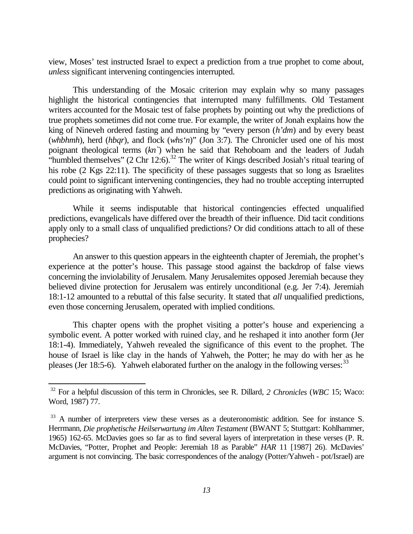view, Moses' test instructed Israel to expect a prediction from a true prophet to come about, *unless* significant intervening contingencies interrupted.

This understanding of the Mosaic criterion may explain why so many passages highlight the historical contingencies that interrupted many fulfillments. Old Testament writers accounted for the Mosaic test of false prophets by pointing out why the predictions of true prophets sometimes did not come true. For example, the writer of Jonah explains how the king of Nineveh ordered fasting and mourning by "every person (*h'dm*) and by every beast (*whbhmh*), herd (*hbqr*), and flock (*whs'n*)" (Jon 3:7). The Chronicler used one of his most poignant theological terms (*kn`*) when he said that Rehoboam and the leaders of Judah "humbled themselves" (2 Chr 12:6).<sup>32</sup> The writer of Kings described Josiah's ritual tearing of his robe (2 Kgs 22:11). The specificity of these passages suggests that so long as Israelites could point to significant intervening contingencies, they had no trouble accepting interrupted predictions as originating with Yahweh.

While it seems indisputable that historical contingencies effected unqualified predictions, evangelicals have differed over the breadth of their influence. Did tacit conditions apply only to a small class of unqualified predictions? Or did conditions attach to all of these prophecies?

An answer to this question appears in the eighteenth chapter of Jeremiah, the prophet's experience at the potter's house. This passage stood against the backdrop of false views concerning the inviolability of Jerusalem. Many Jerusalemites opposed Jeremiah because they believed divine protection for Jerusalem was entirely unconditional (e.g. Jer 7:4). Jeremiah 18:1-12 amounted to a rebuttal of this false security. It stated that *all* unqualified predictions, even those concerning Jerusalem, operated with implied conditions.

This chapter opens with the prophet visiting a potter's house and experiencing a symbolic event. A potter worked with ruined clay, and he reshaped it into another form (Jer 18:1-4). Immediately, Yahweh revealed the significance of this event to the prophet. The house of Israel is like clay in the hands of Yahweh, the Potter; he may do with her as he pleases (Jer 18:5-6). Yahweh elaborated further on the analogy in the following verses:  $33$ 

L,

<sup>32</sup> For a helpful discussion of this term in Chronicles, see R. Dillard, *2 Chronicles* (*WBC* 15; Waco: Word, 1987) 77.

<sup>&</sup>lt;sup>33</sup> A number of interpreters view these verses as a deuteronomistic addition. See for instance S. Herrmann, *Die prophetische Heilserwartung im Alten Testament* (BWANT 5; Stuttgart: Kohlhammer, 1965) 162-65. McDavies goes so far as to find several layers of interpretation in these verses (P. R. McDavies, "Potter, Prophet and People: Jeremiah 18 as Parable" *HAR* 11 [1987] 26). McDavies' argument is not convincing. The basic correspondences of the analogy (Potter/Yahweh - pot/Israel) are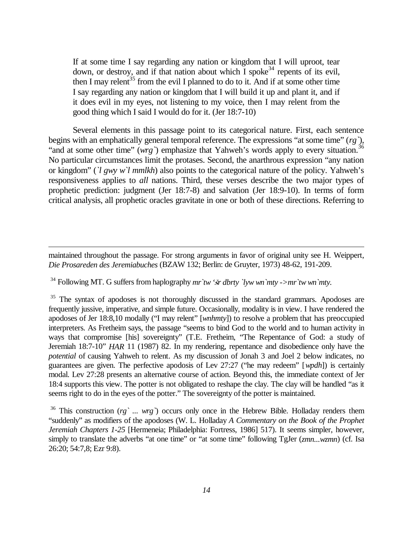If at some time I say regarding any nation or kingdom that I will uproot, tear down, or destroy, and if that nation about which I spoke<sup>34</sup> repents of its evil, then I may relent<sup>35</sup> from the evil I planned to do to it. And if at some other time I say regarding any nation or kingdom that I will build it up and plant it, and if it does evil in my eyes, not listening to my voice, then I may relent from the good thing which I said I would do for it. (Jer 18:7-10)

Several elements in this passage point to its categorical nature. First, each sentence begins with an emphatically general temporal reference. The expressions "at some time" (*rg`*), "and at some other time" (*wrg*) emphasize that Yahweh's words apply to every situation.<sup>3</sup> No particular circumstances limit the protases. Second, the anarthrous expression "any nation or kingdom" (*`l gwy w`l mmlkh*) also points to the categorical nature of the policy. Yahweh's responsiveness applies to *all* nations. Third, these verses describe the two major types of prophetic prediction: judgment (Jer 18:7-8) and salvation (Jer 18:9-10). In terms of form critical analysis, all prophetic oracles gravitate in one or both of these directions. Referring to

maintained throughout the passage. For strong arguments in favor of original unity see H. Weippert, *Die Prosareden des Jeremiabuches* (BZAW 132; Berlin: de Gruyter, 1973) 48-62, 191-209.

 $34$  Following MT. G suffers from haplography  $mr$  *tw ' s dbrty 'lyw wn' mty ->mr'tw wn' mty.* 

÷,

<sup>35</sup> The syntax of apodoses is not thoroughly discussed in the standard grammars. Apodoses are frequently jussive, imperative, and simple future. Occasionally, modality is in view. I have rendered the apodoses of Jer 18:8,10 modally ("I may relent" [*wnhmty*]) to resolve a problem that has preoccupied interpreters. As Fretheim says, the passage "seems to bind God to the world and to human activity in ways that compromise [his] sovereignty" (T.E. Fretheim, "The Repentance of God: a study of Jeremiah 18:7-10" *HAR* 11 (1987) 82. In my rendering, repentance and disobedience only have the *potential* of causing Yahweh to relent. As my discussion of Jonah 3 and Joel 2 below indicates, no guarantees are given. The perfective apodosis of Lev 27:27 ("he may redeem" [*wpdh*]) is certainly modal. Lev 27:28 presents an alternative course of action. Beyond this, the immediate context of Jer 18:4 supports this view. The potter is not obligated to reshape the clay. The clay will be handled "as it seems right to do in the eyes of the potter." The sovereignty of the potter is maintained.

<sup>36</sup> This construction (*rg* `... wrg `) occurs only once in the Hebrew Bible. Holladay renders them "suddenly" as modifiers of the apodoses (W. L. Holladay *A Commentary on the Book of the Prophet Jeremiah Chapters 1-25* [Hermeneia; Philadelphia: Fortress, 1986] 517). It seems simpler, however, simply to translate the adverbs "at one time" or "at some time" following TgJer (*zmn...wzmn*) (cf. Isa 26:20; 54:7,8; Ezr 9:8).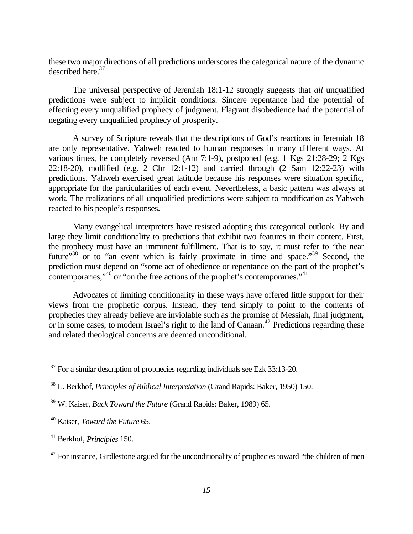these two major directions of all predictions underscores the categorical nature of the dynamic described here.<sup>37</sup>

The universal perspective of Jeremiah 18:1-12 strongly suggests that *all* unqualified predictions were subject to implicit conditions. Sincere repentance had the potential of effecting every unqualified prophecy of judgment. Flagrant disobedience had the potential of negating every unqualified prophecy of prosperity.

A survey of Scripture reveals that the descriptions of God's reactions in Jeremiah 18 are only representative. Yahweh reacted to human responses in many different ways. At various times, he completely reversed (Am 7:1-9), postponed (e.g. 1 Kgs 21:28-29; 2 Kgs 22:18-20), mollified (e.g. 2 Chr 12:1-12) and carried through (2 Sam 12:22-23) with predictions. Yahweh exercised great latitude because his responses were situation specific, appropriate for the particularities of each event. Nevertheless, a basic pattern was always at work. The realizations of all unqualified predictions were subject to modification as Yahweh reacted to his people's responses.

Many evangelical interpreters have resisted adopting this categorical outlook. By and large they limit conditionality to predictions that exhibit two features in their content. First, the prophecy must have an imminent fulfillment. That is to say, it must refer to "the near future"<sup>38</sup> or to "an event which is fairly proximate in time and space."<sup>39</sup> Second, the prediction must depend on "some act of obedience or repentance on the part of the prophet's contemporaries," $40^{\circ}$  or "on the free actions of the prophet's contemporaries." $41^{\circ}$ 

Advocates of limiting conditionality in these ways have offered little support for their views from the prophetic corpus. Instead, they tend simply to point to the contents of prophecies they already believe are inviolable such as the promise of Messiah, final judgment, or in some cases, to modern Israel's right to the land of  $C$ anaan.<sup>42</sup> Predictions regarding these and related theological concerns are deemed unconditional.

 $\overline{\phantom{0}}$ 

 $37$  For a similar description of prophecies regarding individuals see Ezk 33:13-20.

<sup>38</sup> L. Berkhof, *Principles of Biblical Interpretation* (Grand Rapids: Baker, 1950) 150.

<sup>39</sup> W. Kaiser, *Back Toward the Future* (Grand Rapids: Baker, 1989) 65.

<sup>40</sup> Kaiser, *Toward the Future* 65.

<sup>41</sup> Berkhof, *Principles* 150.

 $42$  For instance, Girdlestone argued for the unconditionality of prophecies toward "the children of men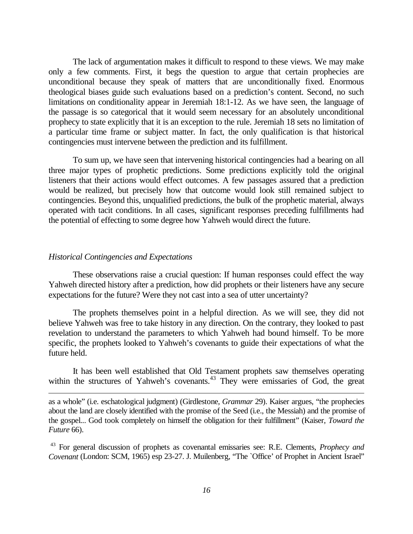The lack of argumentation makes it difficult to respond to these views. We may make only a few comments. First, it begs the question to argue that certain prophecies are unconditional because they speak of matters that are unconditionally fixed. Enormous theological biases guide such evaluations based on a prediction's content. Second, no such limitations on conditionality appear in Jeremiah 18:1-12. As we have seen, the language of the passage is so categorical that it would seem necessary for an absolutely unconditional prophecy to state explicitly that it is an exception to the rule. Jeremiah 18 sets no limitation of a particular time frame or subject matter. In fact, the only qualification is that historical contingencies must intervene between the prediction and its fulfillment.

To sum up, we have seen that intervening historical contingencies had a bearing on all three major types of prophetic predictions. Some predictions explicitly told the original listeners that their actions would effect outcomes. A few passages assured that a prediction would be realized, but precisely how that outcome would look still remained subject to contingencies. Beyond this, unqualified predictions, the bulk of the prophetic material, always operated with tacit conditions. In all cases, significant responses preceding fulfillments had the potential of effecting to some degree how Yahweh would direct the future.

### *Historical Contingencies and Expectations*

 $\overline{\phantom{0}}$ 

These observations raise a crucial question: If human responses could effect the way Yahweh directed history after a prediction, how did prophets or their listeners have any secure expectations for the future? Were they not cast into a sea of utter uncertainty?

The prophets themselves point in a helpful direction. As we will see, they did not believe Yahweh was free to take history in any direction. On the contrary, they looked to past revelation to understand the parameters to which Yahweh had bound himself. To be more specific, the prophets looked to Yahweh's covenants to guide their expectations of what the future held.

It has been well established that Old Testament prophets saw themselves operating within the structures of Yahweh's covenants. $43$  They were emissaries of God, the great

as a whole" (i.e. eschatological judgment) (Girdlestone, *Grammar* 29). Kaiser argues, "the prophecies about the land are closely identified with the promise of the Seed (i.e., the Messiah) and the promise of the gospel... God took completely on himself the obligation for their fulfillment" (Kaiser, *Toward the Future* 66).

<sup>43</sup> For general discussion of prophets as covenantal emissaries see: R.E. Clements, *Prophecy and Covenant* (London: SCM, 1965) esp 23-27. J. Muilenberg, "The `Office' of Prophet in Ancient Israel"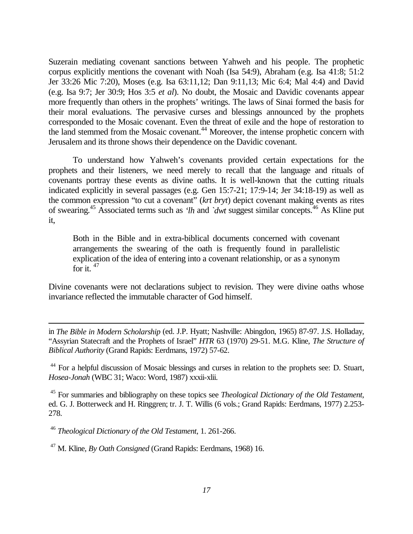Suzerain mediating covenant sanctions between Yahweh and his people. The prophetic corpus explicitly mentions the covenant with Noah (Isa 54:9), Abraham (e.g. Isa 41:8; 51:2 Jer 33:26 Mic 7:20), Moses (e.g. Isa 63:11,12; Dan 9:11,13; Mic 6:4; Mal 4:4) and David (e.g. Isa 9:7; Jer 30:9; Hos 3:5 *et al*). No doubt, the Mosaic and Davidic covenants appear more frequently than others in the prophets' writings. The laws of Sinai formed the basis for their moral evaluations. The pervasive curses and blessings announced by the prophets corresponded to the Mosaic covenant. Even the threat of exile and the hope of restoration to the land stemmed from the Mosaic covenant.<sup>44</sup> Moreover, the intense prophetic concern with Jerusalem and its throne shows their dependence on the Davidic covenant.

To understand how Yahweh's covenants provided certain expectations for the prophets and their listeners, we need merely to recall that the language and rituals of covenants portray these events as divine oaths. It is well-known that the cutting rituals indicated explicitly in several passages (e.g. Gen 15:7-21; 17:9-14; Jer 34:18-19) as well as the common expression "to cut a covenant" (*krt bryt*) depict covenant making events as rites of swearing.<sup>45</sup> Associated terms such as *'lh* and *`dwt* suggest similar concepts.<sup>46</sup> As Kline put it,

Both in the Bible and in extra-biblical documents concerned with covenant arrangements the swearing of the oath is frequently found in parallelistic explication of the idea of entering into a covenant relationship, or as a synonym for it.  $47$ 

Divine covenants were not declarations subject to revision. They were divine oaths whose invariance reflected the immutable character of God himself.

in *The Bible in Modern Scholarship* (ed. J.P. Hyatt; Nashville: Abingdon, 1965) 87-97. J.S. Holladay, "Assyrian Statecraft and the Prophets of Israel" *HTR* 63 (1970) 29-51. M.G. Kline, *The Structure of Biblical Authority* (Grand Rapids: Eerdmans, 1972) 57-62.

<sup>44</sup> For a helpful discussion of Mosaic blessings and curses in relation to the prophets see: D. Stuart, *Hosea-Jonah* (WBC 31; Waco: Word, 1987) xxxii-xlii.

<sup>45</sup> For summaries and bibliography on these topics see *Theological Dictionary of the Old Testament*, ed. G. J. Botterweck and H. Ringgren; tr. J. T. Willis (6 vols.; Grand Rapids: Eerdmans, 1977) 2.253- 278.

<sup>46</sup> *Theological Dictionary of the Old Testament*, 1. 261-266.

÷,

<sup>47</sup> M. Kline, *By Oath Consigned* (Grand Rapids: Eerdmans, 1968) 16.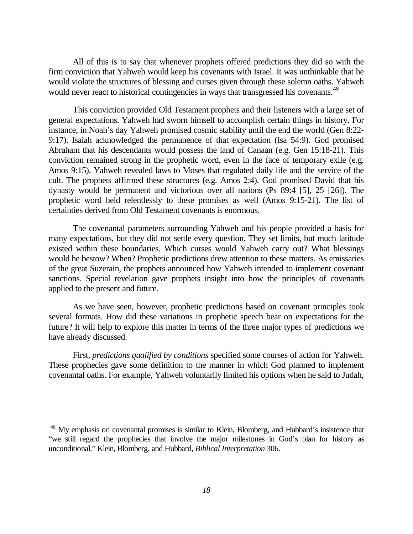All of this is to say that whenever prophets offered predictions they did so with the firm conviction that Yahweh would keep his covenants with Israel. It was unthinkable that he would violate the structures of blessing and curses given through these solemn oaths. Yahweh would never react to historical contingencies in ways that transgressed his covenants.<sup>48</sup>

This conviction provided Old Testament prophets and their listeners with a large set of general expectations. Yahweh had sworn himself to accomplish certain things in history. For instance, in Noah's day Yahweh promised cosmic stability until the end the world (Gen 8:22- 9:17). Isaiah acknowledged the permanence of that expectation (Isa 54:9). God promised Abraham that his descendants would possess the land of Canaan (e.g. Gen 15:18-21). This conviction remained strong in the prophetic word, even in the face of temporary exile (e.g. Amos 9:15). Yahweh revealed laws to Moses that regulated daily life and the service of the cult. The prophets affirmed these structures (e.g. Amos 2:4). God promised David that his dynasty would be permanent and victorious over all nations (Ps 89:4 [5], 25 [26]). The prophetic word held relentlessly to these promises as well (Amos 9:15-21). The list of certainties derived from Old Testament covenants is enormous.

The covenantal parameters surrounding Yahweh and his people provided a basis for many expectations, but they did not settle every question. They set limits, but much latitude existed within these boundaries. Which curses would Yahweh carry out? What blessings would he bestow? When? Prophetic predictions drew attention to these matters. As emissaries of the great Suzerain, the prophets announced how Yahweh intended to implement covenant sanctions. Special revelation gave prophets insight into how the principles of covenants applied to the present and future.

As we have seen, however, prophetic predictions based on covenant principles took several formats. How did these variations in prophetic speech bear on expectations for the future? It will help to explore this matter in terms of the three major types of predictions we have already discussed.

First, *predictions qualified by conditions* specified some courses of action for Yahweh. These prophecies gave some definition to the manner in which God planned to implement covenantal oaths. For example, Yahweh voluntarily limited his options when he said to Judah,

÷,

<sup>&</sup>lt;sup>48</sup> My emphasis on covenantal promises is similar to Klein, Blomberg, and Hubbard's insistence that "we still regard the prophecies that involve the major milestones in God's plan for history as unconditional." Klein, Blomberg, and Hubbard, *Biblical Interpretation* 306.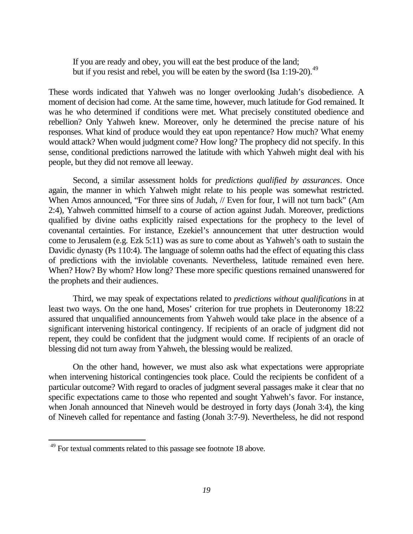If you are ready and obey, you will eat the best produce of the land; but if you resist and rebel, you will be eaten by the sword (Isa 1:19-20).<sup>49</sup>

These words indicated that Yahweh was no longer overlooking Judah's disobedience. A moment of decision had come. At the same time, however, much latitude for God remained. It was he who determined if conditions were met. What precisely constituted obedience and rebellion? Only Yahweh knew. Moreover, only he determined the precise nature of his responses. What kind of produce would they eat upon repentance? How much? What enemy would attack? When would judgment come? How long? The prophecy did not specify. In this sense, conditional predictions narrowed the latitude with which Yahweh might deal with his people, but they did not remove all leeway.

Second, a similar assessment holds for *predictions qualified by assurances*. Once again, the manner in which Yahweh might relate to his people was somewhat restricted. When Amos announced, "For three sins of Judah,  $//$  Even for four, I will not turn back" (Am 2:4), Yahweh committed himself to a course of action against Judah. Moreover, predictions qualified by divine oaths explicitly raised expectations for the prophecy to the level of covenantal certainties. For instance, Ezekiel's announcement that utter destruction would come to Jerusalem (e.g. Ezk 5:11) was as sure to come about as Yahweh's oath to sustain the Davidic dynasty (Ps 110:4). The language of solemn oaths had the effect of equating this class of predictions with the inviolable covenants. Nevertheless, latitude remained even here. When? How? By whom? How long? These more specific questions remained unanswered for the prophets and their audiences.

Third, we may speak of expectations related to *predictions without qualifications* in at least two ways. On the one hand, Moses' criterion for true prophets in Deuteronomy 18:22 assured that unqualified announcements from Yahweh would take place in the absence of a significant intervening historical contingency. If recipients of an oracle of judgment did not repent, they could be confident that the judgment would come. If recipients of an oracle of blessing did not turn away from Yahweh, the blessing would be realized.

On the other hand, however, we must also ask what expectations were appropriate when intervening historical contingencies took place. Could the recipients be confident of a particular outcome? With regard to oracles of judgment several passages make it clear that no specific expectations came to those who repented and sought Yahweh's favor. For instance, when Jonah announced that Nineveh would be destroyed in forty days (Jonah 3:4), the king of Nineveh called for repentance and fasting (Jonah 3:7-9). Nevertheless, he did not respond

÷,

<sup>&</sup>lt;sup>49</sup> For textual comments related to this passage see footnote 18 above.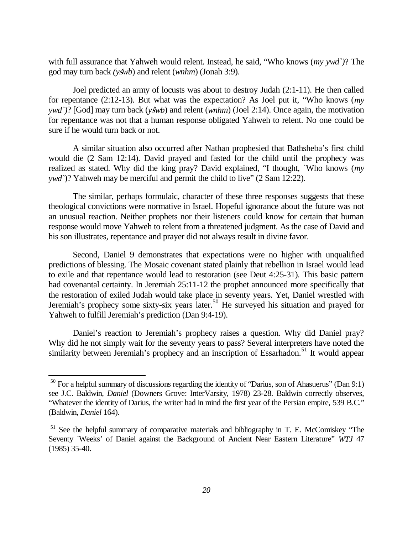with full assurance that Yahweh would relent. Instead, he said, "Who knows (*my ywd`)*? The god may turn back *(y*µ*wb*) and relent (*wnhm*) (Jonah 3:9).

Joel predicted an army of locusts was about to destroy Judah (2:1-11). He then called for repentance (2:12-13). But what was the expectation? As Joel put it, "Who knows (*my ywd*')? [God] may turn back (*yšwb*) and relent (*wnhm*) (Joel 2:14). Once again, the motivation for repentance was not that a human response obligated Yahweh to relent. No one could be sure if he would turn back or not.

A similar situation also occurred after Nathan prophesied that Bathsheba's first child would die (2 Sam 12:14). David prayed and fasted for the child until the prophecy was realized as stated. Why did the king pray? David explained, "I thought, `Who knows (*my ywd`*)? Yahweh may be merciful and permit the child to live" (2 Sam 12:22).

The similar, perhaps formulaic, character of these three responses suggests that these theological convictions were normative in Israel. Hopeful ignorance about the future was not an unusual reaction. Neither prophets nor their listeners could know for certain that human response would move Yahweh to relent from a threatened judgment. As the case of David and his son illustrates, repentance and prayer did not always result in divine favor.

Second, Daniel 9 demonstrates that expectations were no higher with unqualified predictions of blessing. The Mosaic covenant stated plainly that rebellion in Israel would lead to exile and that repentance would lead to restoration (see Deut 4:25-31). This basic pattern had covenantal certainty. In Jeremiah  $25:11-12$  the prophet announced more specifically that the restoration of exiled Judah would take place in seventy years. Yet, Daniel wrestled with Jeremiah's prophecy some sixty-six years later.<sup>50</sup> He surveyed his situation and prayed for Yahweh to fulfill Jeremiah's prediction (Dan 9:4-19).

Daniel's reaction to Jeremiah's prophecy raises a question. Why did Daniel pray? Why did he not simply wait for the seventy years to pass? Several interpreters have noted the similarity between Jeremiah's prophecy and an inscription of Essarhadon.<sup>51</sup> It would appear

L,

 $50$  For a helpful summary of discussions regarding the identity of "Darius, son of Ahasuerus" (Dan 9:1) see J.C. Baldwin, *Daniel* (Downers Grove: InterVarsity, 1978) 23-28. Baldwin correctly observes, "Whatever the identity of Darius, the writer had in mind the first year of the Persian empire, 539 B.C." (Baldwin, *Daniel* 164).

<sup>&</sup>lt;sup>51</sup> See the helpful summary of comparative materials and bibliography in T. E. McComiskey "The Seventy `Weeks' of Daniel against the Background of Ancient Near Eastern Literature" *WTJ* 47 (1985) 35-40.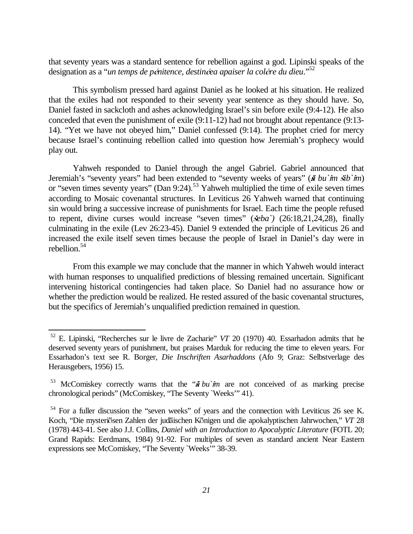that seventy years was a standard sentence for rebellion against a god. Lipinski speaks of the designation as a "*un temps de pénitence*, destinéea apaiser la colère du dieu."<sup>52</sup>

This symbolism pressed hard against Daniel as he looked at his situation. He realized that the exiles had not responded to their seventy year sentence as they should have. So, Daniel fasted in sackcloth and ashes acknowledging Israel's sin before exile (9:4-12). He also conceded that even the punishment of exile (9:11-12) had not brought about repentance (9:13- 14). "Yet we have not obeyed him," Daniel confessed (9:14). The prophet cried for mercy because Israel's continuing rebellion called into question how Jeremiah's prophecy would play out.

Yahweh responded to Daniel through the angel Gabriel. Gabriel announced that Jeremiah's "seventy years" had been extended to "seventy weeks of years" ( $\vec{a}$  *bu*  $\hat{m}$   $\vec{a}$ *b*)  $\hat{m}$ ) or "seven times seventy years" (Dan 9:24).<sup>53</sup> Yahweh multiplied the time of exile seven times according to Mosaic covenantal structures. In Leviticus  $26$  Yahweh warned that continuing sin would bring a successive increase of punishments for Israel. Each time the people refused to repent, divine curses would increase "seven times" ( $\&ba$ ) (26:18,21,24,28), finally culminating in the exile (Lev 26:23-45). Daniel 9 extended the principle of Leviticus 26 and increased the exile itself seven times because the people of Israel in Daniel's day were in rebellion.54

From this example we may conclude that the manner in which Yahweh would interact with human responses to unqualified predictions of blessing remained uncertain. Significant intervening historical contingencies had taken place. So Daniel had no assurance how or whether the prediction would be realized. He rested assured of the basic covenantal structures, but the specifics of Jeremiah's unqualified prediction remained in question.

É.

<sup>52</sup> E. Lipinski, "Recherches sur le livre de Zacharie" *VT* 20 (1970) 40. Essarhadon admits that he deserved seventy years of punishment, but praises Marduk for reducing the time to eleven years. For Essarhadon's text see R. Borger, *Die Inschriften Asarhaddons* (Afo 9; Graz: Selbstverlage des Herausgebers, 1956) 15.

<sup>&</sup>lt;sup>53</sup> McComiskey correctly warns that the " $\tilde{a}$  *bu* $\hat{m}$  are not conceived of as marking precise chronological periods" (McComiskey, "The Seventy `Weeks'" 41).

 $54$  For a fuller discussion the "seven weeks" of years and the connection with Leviticus 26 see K. Koch, "Die mysteriösen Zahlen der judäischen Königen und die apokalyptischen Jahrwochen," VT 28 (1978) 443-41. See also J.J. Collins, *Daniel with an Introduction to Apocalyptic Literature* (FOTL 20; Grand Rapids: Eerdmans, 1984) 91-92. For multiples of seven as standard ancient Near Eastern expressions see McComiskey, "The Seventy `Weeks'" 38-39.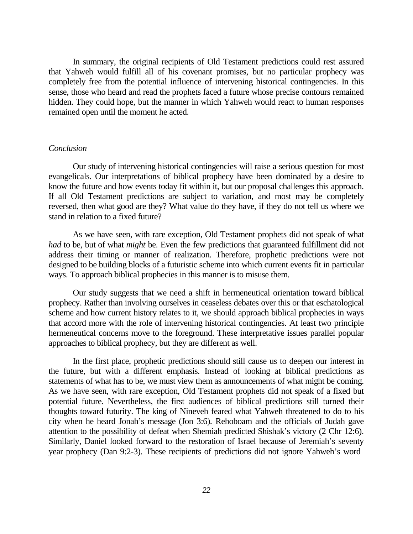In summary, the original recipients of Old Testament predictions could rest assured that Yahweh would fulfill all of his covenant promises, but no particular prophecy was completely free from the potential influence of intervening historical contingencies. In this sense, those who heard and read the prophets faced a future whose precise contours remained hidden. They could hope, but the manner in which Yahweh would react to human responses remained open until the moment he acted.

## *Conclusion*

Our study of intervening historical contingencies will raise a serious question for most evangelicals. Our interpretations of biblical prophecy have been dominated by a desire to know the future and how events today fit within it, but our proposal challenges this approach. If all Old Testament predictions are subject to variation, and most may be completely reversed, then what good are they? What value do they have, if they do not tell us where we stand in relation to a fixed future?

As we have seen, with rare exception, Old Testament prophets did not speak of what *had* to be, but of what *might* be. Even the few predictions that guaranteed fulfillment did not address their timing or manner of realization. Therefore, prophetic predictions were not designed to be building blocks of a futuristic scheme into which current events fit in particular ways. To approach biblical prophecies in this manner is to misuse them.

Our study suggests that we need a shift in hermeneutical orientation toward biblical prophecy. Rather than involving ourselves in ceaseless debates over this or that eschatological scheme and how current history relates to it, we should approach biblical prophecies in ways that accord more with the role of intervening historical contingencies. At least two principle hermeneutical concerns move to the foreground. These interpretative issues parallel popular approaches to biblical prophecy, but they are different as well.

In the first place, prophetic predictions should still cause us to deepen our interest in the future, but with a different emphasis. Instead of looking at biblical predictions as statements of what has to be, we must view them as announcements of what might be coming. As we have seen, with rare exception, Old Testament prophets did not speak of a fixed but potential future. Nevertheless, the first audiences of biblical predictions still turned their thoughts toward futurity. The king of Nineveh feared what Yahweh threatened to do to his city when he heard Jonah's message (Jon 3:6). Rehoboam and the officials of Judah gave attention to the possibility of defeat when Shemiah predicted Shishak's victory (2 Chr 12:6). Similarly, Daniel looked forward to the restoration of Israel because of Jeremiah's seventy year prophecy (Dan 9:2-3). These recipients of predictions did not ignore Yahweh's word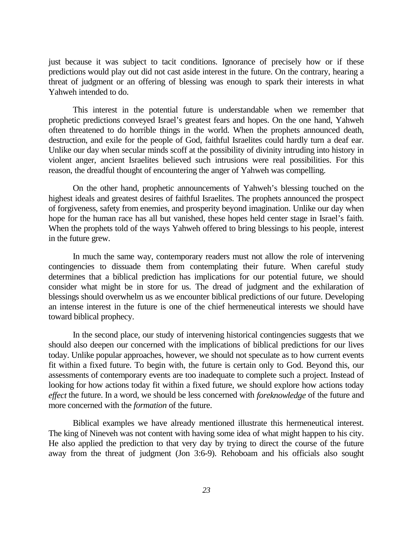just because it was subject to tacit conditions. Ignorance of precisely how or if these predictions would play out did not cast aside interest in the future. On the contrary, hearing a threat of judgment or an offering of blessing was enough to spark their interests in what Yahweh intended to do.

This interest in the potential future is understandable when we remember that prophetic predictions conveyed Israel's greatest fears and hopes. On the one hand, Yahweh often threatened to do horrible things in the world. When the prophets announced death, destruction, and exile for the people of God, faithful Israelites could hardly turn a deaf ear. Unlike our day when secular minds scoff at the possibility of divinity intruding into history in violent anger, ancient Israelites believed such intrusions were real possibilities. For this reason, the dreadful thought of encountering the anger of Yahweh was compelling.

On the other hand, prophetic announcements of Yahweh's blessing touched on the highest ideals and greatest desires of faithful Israelites. The prophets announced the prospect of forgiveness, safety from enemies, and prosperity beyond imagination. Unlike our day when hope for the human race has all but vanished, these hopes held center stage in Israel's faith. When the prophets told of the ways Yahweh offered to bring blessings to his people, interest in the future grew.

In much the same way, contemporary readers must not allow the role of intervening contingencies to dissuade them from contemplating their future. When careful study determines that a biblical prediction has implications for our potential future, we should consider what might be in store for us. The dread of judgment and the exhilaration of blessings should overwhelm us as we encounter biblical predictions of our future. Developing an intense interest in the future is one of the chief hermeneutical interests we should have toward biblical prophecy.

In the second place, our study of intervening historical contingencies suggests that we should also deepen our concerned with the implications of biblical predictions for our lives today. Unlike popular approaches, however, we should not speculate as to how current events fit within a fixed future. To begin with, the future is certain only to God. Beyond this, our assessments of contemporary events are too inadequate to complete such a project. Instead of looking for how actions today fit within a fixed future, we should explore how actions today *effect* the future. In a word, we should be less concerned with *foreknowledge* of the future and more concerned with the *formation* of the future.

Biblical examples we have already mentioned illustrate this hermeneutical interest. The king of Nineveh was not content with having some idea of what might happen to his city. He also applied the prediction to that very day by trying to direct the course of the future away from the threat of judgment (Jon 3:6-9). Rehoboam and his officials also sought